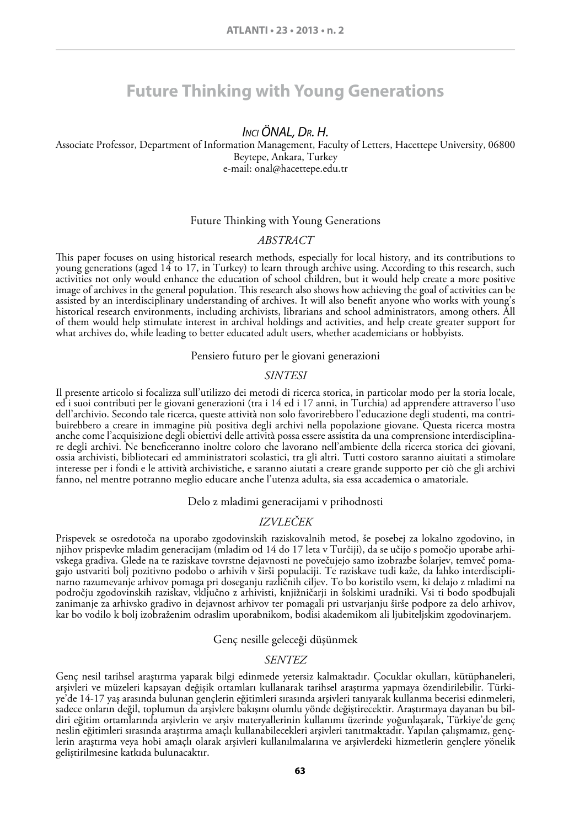# **Future Thinking with Young Generations**

# *Inci ÖNAL, Dr. H.*

Associate Professor, Department of Information Management, Faculty of Letters, Hacettepe University, 06800 Beytepe, Ankara, Turkey e-mail: onal@hacettepe.edu.tr

### Future Thinking with Young Generations

### *ABSTRACT*

This paper focuses on using historical research methods, especially for local history, and its contributions to young generations (aged 14 to 17, in Turkey) to learn through archive using. According to this research, such activities not only would enhance the education of school children, but it would help create a more positive image of archives in the general population. This research also shows how achieving the goal of activities can be assisted by an interdisciplinary understanding of archives. It will also benefit anyone who works with young's historical research environments, including archivists, librarians and school administrators, among others. All of them would help stimulate interest in archival holdings and activities, and help create greater support for what archives do, while leading to better educated adult users, whether academicians or hobbyists.

### Pensiero futuro per le giovani generazioni

#### *Sintesi*

Il presente articolo si focalizza sull'utilizzo dei metodi di ricerca storica, in particolar modo per la storia locale, ed i suoi contributi per le giovani generazioni (tra i 14 ed i 17 anni, in Turchia) ad apprendere attraverso l'uso<br>dell'archivio. Secondo tale ricerca, queste attività non solo favorirebbero l'educazione degli studenti, ma buirebbero a creare in immagine più positiva degli archivi nella popolazione giovane. Questa ricerca mostra anche come l'acquisizione degli obiettivi delle attività possa essere assistita da una comprensione interdisciplin re degli archivi. Ne beneficeranno inoltre coloro che lavorano nell'ambiente della ricerca storica dei giovani, ossia archivisti, bibliotecari ed amministratori scolastici, tra gli altri. Tutti costoro saranno aiuitati a stimolare interesse per i fondi e le attività archivistiche, e saranno aiutati a creare grande supporto per ciò che gli archivi fanno, nel mentre potranno meglio educare anche l'utenza adulta, sia essa accademica o amatoriale.

### Delo z mladimi generacijami v prihodnosti

### *IZVLEČEK*

Prispevek se osredotoča na uporabo zgodovinskih raziskovalnih metod, še posebej za lokalno zgodovino, in njihov prispevke mladim generacijam (mladim od 14 do 17 leta v Turčiji), da se učijo s pomočjo uporabe arhivskega gradiva. Glede na te raziskave tovrstne dejavnosti ne povečujejo samo izobrazbe šolarjev, temveč pomagajo ustvariti bolj pozitivno podobo o arhivih v širši populaciji. Te raziskave tudi kaže, da lahko interdisciplinarno razumevanje arhivov pomaga pri doseganju različnih ciljev. To bo koristilo vsem, ki delajo z mladimi na področju zgodovinskih raziskav, vključno z arhivisti, knjižničarji in šolskimi uradniki. Vsi ti bodo spodbujali zanimanje za arhivsko gradivo in dejavnost arhivov ter pomagali pri ustvarjanju širše podpore za delo arhivov, kar bo vodilo k bolj izobraženim odraslim uporabnikom, bodisi akademikom ali ljubiteljskim zgodovinarjem.

### Genç nesille geleceği düşünmek

### *SENTEZ*

Genç nesil tarihsel araştırma yaparak bilgi edinmede yetersiz kalmaktadır. Çocuklar okulları, kütüphaneleri, arşivleri ve müzeleri kapsayan değişik ortamları kullanarak tarihsel araştırma yapmaya özendirilebilir. Türkiye'de 14-17 yaş arasında bulunan gençlerin eğitimleri sırasında arşivleri tanıyarak kullanma becerisi edinmeleri, sadece onların değil, toplumun da arşivlere bakışını olumlu yönde değiştirecektir. Araştırmaya dayanan bu bildiri eğitim ortamlarında arşivlerin ve arşiv materyallerinin kullanımı üzerinde yoğunlaşarak, Türkiye'de genç neslin eğitimleri sırasında araştırma amaçlı kullanabilecekleri arşivleri tanıtmaktadır. Yapılan çalışmamız, gençlerin araştırma veya hobi amaçlı olarak arşivleri kullanılmalarına ve arşivlerdeki hizmetlerin gençlere yönelik geliştirilmesine katkıda bulunacaktır.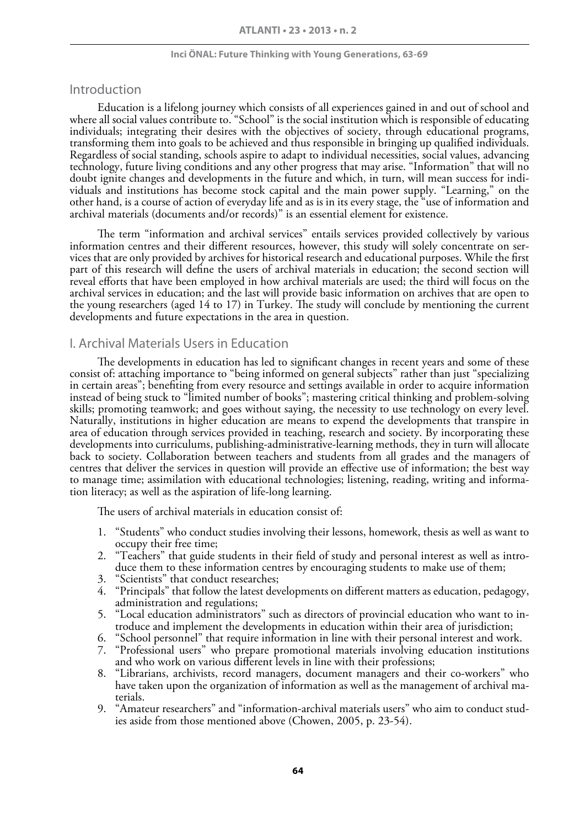# Introduction

Education is a lifelong journey which consists of all experiences gained in and out of school and where all social values contribute to. "School" is the social institution which is responsible of educating individuals; integrating their desires with the objectives of society, through educational programs, transforming them into goals to be achieved and thus responsible in bringing up qualified individuals. Regardless of social standing, schools aspire to adapt to individual necessities, social values, advancing technology, future living conditions and any other progress that may arise. "Information" that will no doubt ignite changes and developments in the future and which, in turn, will mean success for individuals and institutions has become stock capital and the main power supply. "Learning," on the other hand, is a course of action of everyday life and as is in its every stage, the "use of information and archival materials (documents and/or records)" is an essential element for existence.

The term "information and archival services" entails services provided collectively by various information centres and their different resources, however, this study will solely concentrate on services that are only provided by archives for historical research and educational purposes. While the first part of this research will define the users of archival materials in education; the second section will reveal efforts that have been employed in how archival materials are used; the third will focus on the archival services in education; and the last will provide basic information on archives that are open to the young researchers (aged 14 to 17) in Turkey. The study will conclude by mentioning the current developments and future expectations in the area in question.

# I. Archival Materials Users in Education

The developments in education has led to significant changes in recent years and some of these consist of: attaching importance to "being informed on general subjects" rather than just "specializing in certain areas"; benefiting from every resource and settings available in order to acquire information instead of being stuck to "limited number of books"; mastering critical thinking and problem-solving skills; promoting teamwork; and goes without saying, the necessity to use technology on every level. Naturally, institutions in higher education are means to expend the developments that transpire in area of education through services provided in teaching, research and society. By incorporating these developments into curriculums, publishing-administrative-learning methods, they in turn will allocate back to society. Collaboration between teachers and students from all grades and the managers of centres that deliver the services in question will provide an effective use of information; the best way to manage time; assimilation with educational technologies; listening, reading, writing and information literacy; as well as the aspiration of life-long learning.

The users of archival materials in education consist of:

- 1. "Students" who conduct studies involving their lessons, homework, thesis as well as want to occupy their free time;
- 2. "Teachers" that guide students in their field of study and personal interest as well as introduce them to these information centres by encouraging students to make use of them;
- 3. "Scientists" that conduct researches;
- 4. "Principals" that follow the latest developments on different matters as education, pedagogy, administration and regulations;
- 5. "Local education administrators" such as directors of provincial education who want to introduce and implement the developments in education within their area of jurisdiction;
- 6. "School personnel" that require information in line with their personal interest and work.
- 7. "Professional users" who prepare promotional materials involving education institutions and who work on various different levels in line with their professions;
- 8. "Librarians, archivists, record managers, document managers and their co-workers" who have taken upon the organization of information as well as the management of archival materials.
- 9. "Amateur researchers" and "information-archival materials users" who aim to conduct studies aside from those mentioned above (Chowen, 2005, p. 23-54).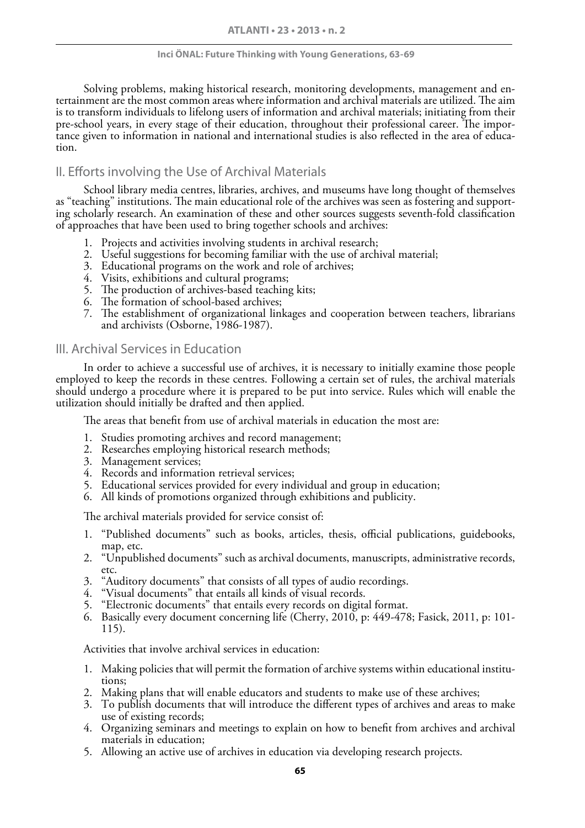Solving problems, making historical research, monitoring developments, management and en- tertainment are the most common areas where information and archival materials are utilized. The aim is to transform individuals to lifelong users of information and archival materials; initiating from their<br>pre-school years, in every stage of their education, throughout their professional career. The importance given to information in national and international studies is also reflected in the area of educa-<br>tion.

# II. Efforts involving the Use of Archival Materials

School library media centres, libraries, archives, and museums have long thought of themselves as "teaching" institutions. The main educational role of the archives was seen as fostering and supporting scholarly research. An examination of these and other sources suggests seventh-fold classification of approaches that have been used to bring together schools and archives:

- 1. Projects and activities involving students in archival research;
- 2. Useful suggestions for becoming familiar with the use of archival material;
- 3. Educational programs on the work and role of archives;
- 4. Visits, exhibitions and cultural programs;
- 5. The production of archives-based teaching kits;
- 6. The formation of school-based archives;
- 7. The establishment of organizational linkages and cooperation between teachers, librarians and archivists (Osborne, 1986-1987).

# III. Archival Services in Education

In order to achieve a successful use of archives, it is necessary to initially examine those people employed to keep the records in these centres. Following a certain set of rules, the archival materials should undergo a procedure where it is prepared to be put into service. Rules which will enable the utilization should initially be drafted and then applied.

The areas that benefit from use of archival materials in education the most are:

- 1. Studies promoting archives and record management;
- 2. Researches employing historical research methods;
- 3. Management services;
- 4. Records and information retrieval services;
- 5. Educational services provided for every individual and group in education;
- 6. All kinds of promotions organized through exhibitions and publicity.

The archival materials provided for service consist of:

- 1. "Published documents" such as books, articles, thesis, official publications, guidebooks, map, etc.
- 2. "Unpublished documents" such as archival documents, manuscripts, administrative records, etc.
- 3. "Auditory documents" that consists of all types of audio recordings.
- 4. "Visual documents" that entails all kinds of visual records.
- 5. "Electronic documents" that entails every records on digital format.
- 6. Basically every document concerning life (Cherry, 2010, p: 449-478; Fasick, 2011, p: 101- 115).

Activities that involve archival services in education:

- 1. Making policies that will permit the formation of archive systems within educational institu- tions;
- 2. Making plans that will enable educators and students to make use of these archives;
- 3. To publish documents that will introduce the different types of archives and areas to make use of existing records;
- 4. Organizing seminars and meetings to explain on how to benefit from archives and archival materials in education;
- 5. Allowing an active use of archives in education via developing research projects.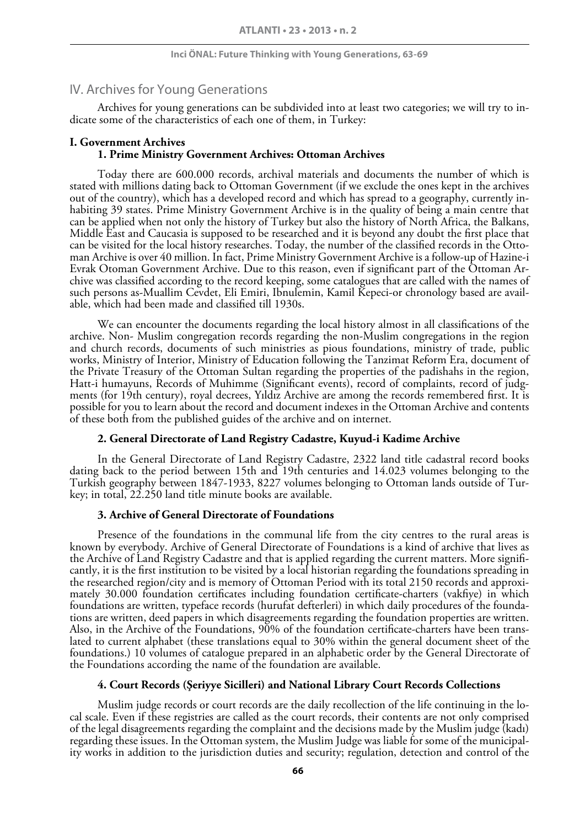# IV. Archives for Young Generations

Archives for young generations can be subdivided into at least two categories; we will try to indicate some of the characteristics of each one of them, in Turkey:

### **I. Government Archives 1. Prime Ministry Government Archives: Ottoman Archives**

Today there are 600.000 records, archival materials and documents the number of which is stated with millions dating back to Ottoman Government (if we exclude the ones kept in the archives out of the country), which has a developed record and which has spread to a geography, currently inhabiting 39 states. Prime Ministry Government Archive is in the quality of being a main centre that can be applied when not only the history of Turkey but also the history of North Africa, the Balkans, Middle East and Caucasia is supposed to be researched and it is beyond any doubt the first place that can be visited for the local history researches. Today, the number of the classified records in the Ottoman Archive is over 40 million. In fact, Prime Ministry Government Archive is a follow-up of Hazine-i Evrak Otoman Government Archive. Due to this reason, even if significant part of the Ottoman Archive was classified according to the record keeping, some catalogues that are called with the names of such persons as-Muallim Cevdet, Eli Emiri, Ibnulemin, Kamil Kepeci-or chronology based are avail- able, which had been made and classified till 1930s.

We can encounter the documents regarding the local history almost in all classifications of the archive. Non- Muslim congregation records regarding the non-Muslim congregations in the region and church records, documents of such ministries as pious foundations, ministry of trade, public works, Ministry of Interior, Ministry of Education following the Tanzimat Reform Era, document of the Private Treasury of the Ottoman Sultan regarding the properties of the padishahs in the region, Hatt-i humayuns, Records of Muhimme (Significant events), record of complaints, record of judgments (for 19th century), royal decrees, Yıldız Archive are among the records remembered first. It is possible for you to learn about the record and document indexes in the Ottoman Archive and contents of these both from the published guides of the archive and on internet.

### **2. General Directorate of Land Registry Cadastre, Kuyud-i Kadime Archive**

In the General Directorate of Land Registry Cadastre, 2322 land title cadastral record books dating back to the period between 15th and 19th centuries and 14.023 volumes belonging to the Turkish geography between 1847-1933, 8227 volumes belonging to Ottoman lands outside of Turkey; in total, 22.250 land title minute books are available.

### **3. Archive of General Directorate of Foundations**

Presence of the foundations in the communal life from the city centres to the rural areas is known by everybody. Archive of General Directorate of Foundations is a kind of archive that lives as the Archive of Land Registry Cadastre and that is applied regarding the current matters. More significantly, it is the first institution to be visited by a local historian regarding the foundations spreading in the researched region/city and is memory of Ottoman Period with its total 2150 records and approximately 30.000 foundation certificates including foundation certificate-charters (vakfiye) in which<br>foundations are written, typeface records (hurufat defterleri) in which daily procedures of the foundations are written, deed papers in which disagreements regarding the foundation properties are written. Also, in the Archive of the Foundations, 90% of the foundation certificate-charters have been translated to current alphabet (these translations equal to 30% within the general document sheet of the foundations.) 10 volumes of catalogue prepared in an alphabetic order by the General Directorate of the Foundations according the name of the foundation are available.

### **4. Court Records (Şeriyye Sicilleri) and National Library Court Records Collections**

Muslim judge records or court records are the daily recollection of the life continuing in the lo- cal scale. Even if these registries are called as the court records, their contents are not only comprised of the legal disagreements regarding the complaint and the decisions made by the Muslim judge (kadı) regarding these issues. In the Ottoman system, the Muslim Judge was liable for some of the municipality works in addition to the jurisdiction duties and security; regulation, detection and control of the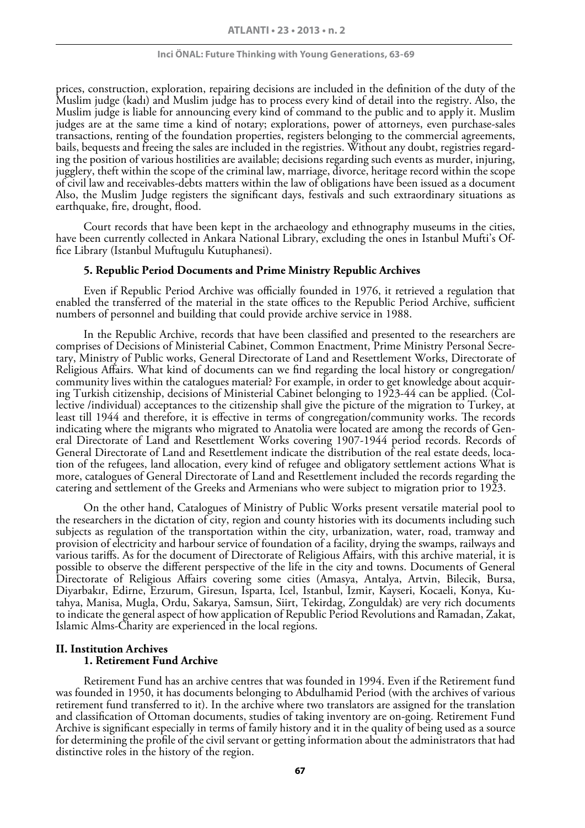prices, construction, exploration, repairing decisions are included in the definition of the duty of the Muslim judge (kadı) and Muslim judge has to process every kind of detail into the registry. Also, the Muslim judge is liable for announcing every kind of command to the public and to apply it. Muslim judges are at the same time a kind of notary; explorations, power of attorneys, even purchase-sales transactions, renting of the foundation properties, registers belonging to the commercial agreements, bails, bequests and freeing the sales are included in the registries. Without any doubt, registries regarding the position of various hostilities are available; decisions regarding such events as murder, injuring, jugglery, theft within the scope of the criminal law, marriage, divorce, heritage record within the scope of civil law and receivables-debts matters within the law of obligations have been issued as a document Also, the Muslim Judge registers the significant days, festivals and such extraordinary situations as earthquake, fire, drought, flood.

Court records that have been kept in the archaeology and ethnography museums in the cities, have been currently collected in Ankara National Library, excluding the ones in Istanbul Mufti's Office Library (Istanbul Muftugulu Kutuphanesi).

#### **5. Republic Period Documents and Prime Ministry Republic Archives**

Even if Republic Period Archive was officially founded in 1976, it retrieved a regulation that enabled the transferred of the material in the state offices to the Republic Period Archive, sufficient numbers of personnel and building that could provide archive service in 1988.

In the Republic Archive, records that have been classified and presented to the researchers are comprises of Decisions of Ministerial Cabinet, Common Enactment, Prime Ministry Personal Secretary, Ministry of Public works, General Directorate of Land and Resettlement Works, Directorate of Religious Affairs. What kind of documents can we find regarding the local history or congregation/ community lives within the catalogues material? For example, in order to get knowledge about acquiring Turkish citizenship, decisions of Ministerial Cabinet belonging to 1923-44 can be applied. (Collective /individual) acceptances to the citizenship shall give the picture of the migration to Turkey, at least till 1944 and therefore, it is effective in terms of congregation/community works. The records indicating where the migrants who migrated to Anatolia were located are among the records of General Directorate of Land and Resettlement Works covering 1907-1944 period records. Records of General Directorate of Land and Resettlement indicate the distribution of the real estate deeds, location of the refugees, land allocation, every kind of refugee and obligatory settlement actions What is more, catalogues of General Directorate of Land and Resettlement included the records regarding the catering and settlement of the Greeks and Armenians who were subject to migration prior to 1923.

On the other hand, Catalogues of Ministry of Public Works present versatile material pool to the researchers in the dictation of city, region and county histories with its documents including such subjects as regulation of the transportation within the city, urbanization, water, road, tramway and provision of electricity and harbour service of foundation of a facility, drying the swamps, railways and various tariffs. As for the document of Directorate of Religious Affairs, with this archive material, it is possible to observe the different perspective of the life in the city and towns. Documents of General Directorate of Religious Affairs covering some cities (Amasya, Antalya, Artvin, Bilecik, Bursa, Diyarbakır, Edirne, Erzurum, Giresun, Isparta, Icel, Istanbul, Izmir, Kayseri, Kocaeli, Konya, Kutahya, Manisa, Mugla, Ordu, Sakarya, Samsun, Siirt, Tekirdag, Zonguldak) are very rich documents to indicate the general aspect of how application of Republic Period Revolutions and Ramadan, Zakat, Islamic Alms-Charity are experienced in the local regions.

### **II. Institution Archives 1. Retirement Fund Archive**

Retirement Fund has an archive centres that was founded in 1994. Even if the Retirement fund was founded in 1950, it has documents belonging to Abdulhamid Period (with the archives of various retirement fund transferred to it). In the archive where two translators are assigned for the translation and classification of Ottoman documents, studies of taking inventory are on-going. Retirement Fund Archive is significant especially in terms of family history and it in the quality of being used as a source for determining the profile of the civil servant or getting information about the administrators that had distinctive roles in the history of the region.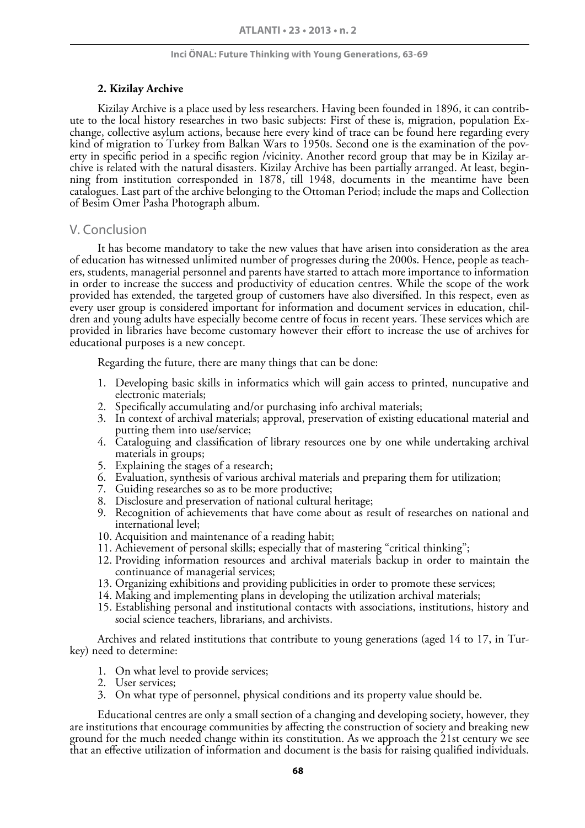### **2. Kizilay Archive**

Kizilay Archive is a place used by less researchers. Having been founded in 1896, it can contribute to the local history researches in two basic subjects: First of these is, migration, population Exchange, collective asylum actions, because here every kind of trace can be found here regarding every kind of migration to Turkey from Balkan Wars to 1950s. Second one is the examination of the poverty in specific period in a specific region /vicinity. Another record group that may be in Kizilay archive is related with the natural disasters. Kizilay Archive has been partially arranged. At least, beginning from institution corresponded in 1878, till 1948, documents in the meantime have been catalogues. Last part of the archive belonging to the Ottoman Period; include the maps and Collection of Besim Omer Pasha Photograph album.

# V. Conclusion

It has become mandatory to take the new values that have arisen into consideration as the area of education has witnessed unlimited number of progresses during the 2000s. Hence, people as teachers, students, managerial personnel and parents have started to attach more importance to information in order to increase the success and productivity of education centres. While the scope of the work provided has extended, the targeted group of customers have also diversified. In this respect, even as every user group is considered important for information and document services in education, children and young adults have especially become centre of focus in recent years. These services which are provided in libraries have become customary however their effort to increase the use of archives for educational purposes is a new concept.

Regarding the future, there are many things that can be done:

- 1. Developing basic skills in informatics which will gain access to printed, nuncupative and electronic materials;
- 2. Specifically accumulating and/or purchasing info archival materials;
- 3. In context of archival materials; approval, preservation of existing educational material and putting them into use/service;
- 4. Cataloguing and classification of library resources one by one while undertaking archival materials in groups;
- 5. Explaining the stages of a research;
- 6. Evaluation, synthesis of various archival materials and preparing them for utilization;
- 7. Guiding researches so as to be more productive;
- 8. Disclosure and preservation of national cultural heritage;
- 9. Recognition of achievements that have come about as result of researches on national and international level;
- 10. Acquisition and maintenance of a reading habit;
- 11. Achievement of personal skills; especially that of mastering "critical thinking";
- 12. Providing information resources and archival materials backup in order to maintain the continuance of managerial services;
- 13. Organizing exhibitions and providing publicities in order to promote these services;
- 14. Making and implementing plans in developing the utilization archival materials;
- 15. Establishing personal and institutional contacts with associations, institutions, history and social science teachers, librarians, and archivists.

Archives and related institutions that contribute to young generations (aged 14 to 17, in Turkey) need to determine:

- 1. On what level to provide services;
- 2. User services;
- 3. On what type of personnel, physical conditions and its property value should be.

Educational centres are only a small section of a changing and developing society, however, they are institutions that encourage communities by affecting the construction of society and breaking new ground for the much needed change within its constitution. As we approach the 21st century we see that an effective utilization of information and document is the basis for raising qualified individuals.